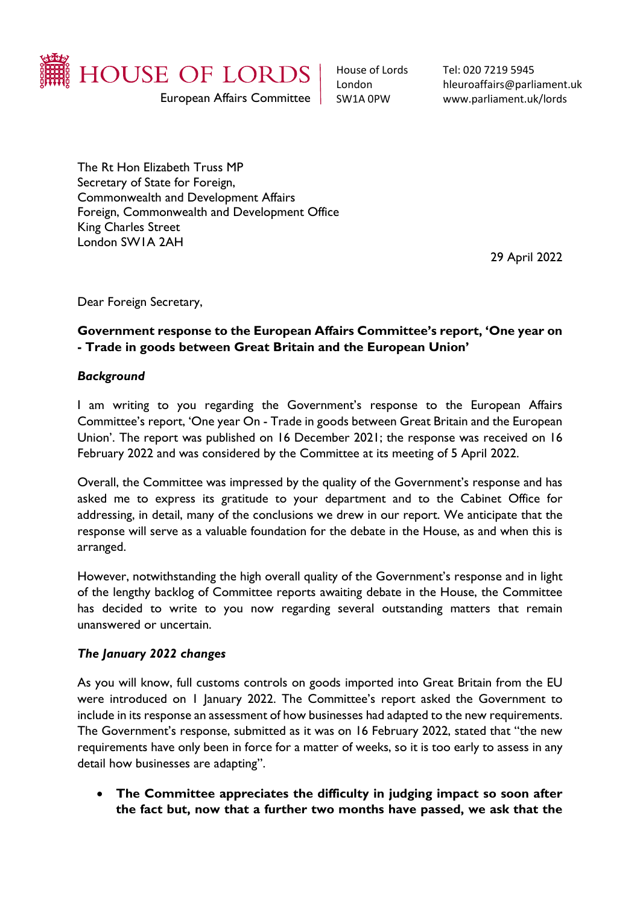

House of Lords London SW1A 0PW

Tel: 020 7219 5945 hleuroaffairs@parliament.uk www.parliament.uk/lords

The Rt Hon Elizabeth Truss MP Secretary of State for Foreign, Commonwealth and Development Affairs Foreign, Commonwealth and Development Office King Charles Street London SW1A 2AH

29 April 2022

Dear Foreign Secretary,

# **Government response to the European Affairs Committee's report, 'One year on - Trade in goods between Great Britain and the European Union'**

#### *Background*

I am writing to you regarding the Government's response to the European Affairs Committee's report, 'One year On - Trade in goods between Great Britain and the European Union'. The report was published on 16 December 2021; the response was received on 16 February 2022 and was considered by the Committee at its meeting of 5 April 2022.

Overall, the Committee was impressed by the quality of the Government's response and has asked me to express its gratitude to your department and to the Cabinet Office for addressing, in detail, many of the conclusions we drew in our report. We anticipate that the response will serve as a valuable foundation for the debate in the House, as and when this is arranged.

However, notwithstanding the high overall quality of the Government's response and in light of the lengthy backlog of Committee reports awaiting debate in the House, the Committee has decided to write to you now regarding several outstanding matters that remain unanswered or uncertain.

## *The January 2022 changes*

As you will know, full customs controls on goods imported into Great Britain from the EU were introduced on 1 January 2022. The Committee's report asked the Government to include in its response an assessment of how businesses had adapted to the new requirements. The Government's response, submitted as it was on 16 February 2022, stated that "the new requirements have only been in force for a matter of weeks, so it is too early to assess in any detail how businesses are adapting".

• **The Committee appreciates the difficulty in judging impact so soon after the fact but, now that a further two months have passed, we ask that the**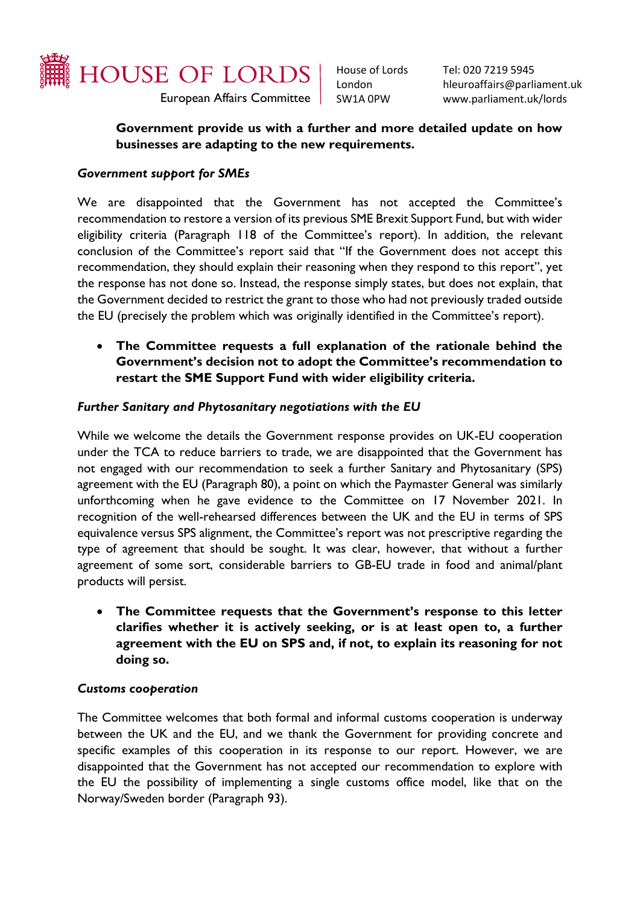

House of Lords London SW1A 0PW

Tel: 020 7219 5945 hleuroaffairs@parliament.uk www.parliament.uk/lords

## **Government provide us with a further and more detailed update on how businesses are adapting to the new requirements.**

### *Government support for SMEs*

We are disappointed that the Government has not accepted the Committee's recommendation to restore a version of its previous SME Brexit Support Fund, but with wider eligibility criteria (Paragraph 118 of the Committee's report). In addition, the relevant conclusion of the Committee's report said that "If the Government does not accept this recommendation, they should explain their reasoning when they respond to this report", yet the response has not done so. Instead, the response simply states, but does not explain, that the Government decided to restrict the grant to those who had not previously traded outside the EU (precisely the problem which was originally identified in the Committee's report).

• **The Committee requests a full explanation of the rationale behind the Government's decision not to adopt the Committee's recommendation to restart the SME Support Fund with wider eligibility criteria.** 

#### *Further Sanitary and Phytosanitary negotiations with the EU*

While we welcome the details the Government response provides on UK-EU cooperation under the TCA to reduce barriers to trade, we are disappointed that the Government has not engaged with our recommendation to seek a further Sanitary and Phytosanitary (SPS) agreement with the EU (Paragraph 80), a point on which the Paymaster General was similarly unforthcoming when he gave evidence to the Committee on 17 November 2021. In recognition of the well-rehearsed differences between the UK and the EU in terms of SPS equivalence versus SPS alignment, the Committee's report was not prescriptive regarding the type of agreement that should be sought. It was clear, however, that without a further agreement of some sort, considerable barriers to GB-EU trade in food and animal/plant products will persist.

• **The Committee requests that the Government's response to this letter clarifies whether it is actively seeking, or is at least open to, a further agreement with the EU on SPS and, if not, to explain its reasoning for not doing so.**

#### *Customs cooperation*

The Committee welcomes that both formal and informal customs cooperation is underway between the UK and the EU, and we thank the Government for providing concrete and specific examples of this cooperation in its response to our report. However, we are disappointed that the Government has not accepted our recommendation to explore with the EU the possibility of implementing a single customs office model, like that on the Norway/Sweden border (Paragraph 93).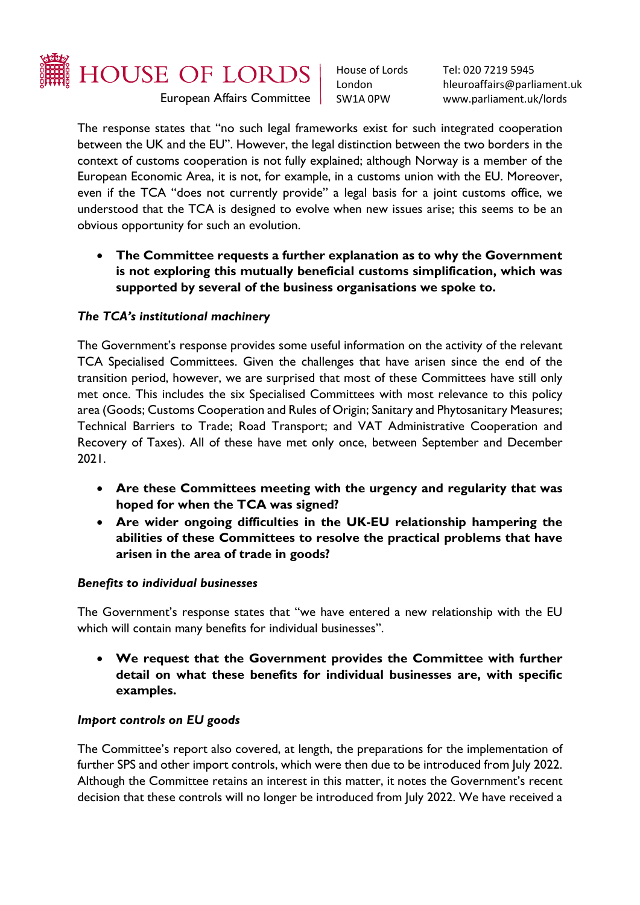

House of Lords London SW1A 0PW

Tel: 020 7219 5945 hleuroaffairs@parliament.uk www.parliament.uk/lords

The response states that "no such legal frameworks exist for such integrated cooperation between the UK and the EU". However, the legal distinction between the two borders in the context of customs cooperation is not fully explained; although Norway is a member of the European Economic Area, it is not, for example, in a customs union with the EU. Moreover, even if the TCA "does not currently provide" a legal basis for a joint customs office, we understood that the TCA is designed to evolve when new issues arise; this seems to be an obvious opportunity for such an evolution.

• **The Committee requests a further explanation as to why the Government is not exploring this mutually beneficial customs simplification, which was supported by several of the business organisations we spoke to.**

# *The TCA's institutional machinery*

The Government's response provides some useful information on the activity of the relevant TCA Specialised Committees. Given the challenges that have arisen since the end of the transition period, however, we are surprised that most of these Committees have still only met once. This includes the six Specialised Committees with most relevance to this policy area (Goods; Customs Cooperation and Rules of Origin; Sanitary and Phytosanitary Measures; Technical Barriers to Trade; Road Transport; and VAT Administrative Cooperation and Recovery of Taxes). All of these have met only once, between September and December 2021.

- **Are these Committees meeting with the urgency and regularity that was hoped for when the TCA was signed?**
- **Are wider ongoing difficulties in the UK-EU relationship hampering the abilities of these Committees to resolve the practical problems that have arisen in the area of trade in goods?**

## *Benefits to individual businesses*

The Government's response states that "we have entered a new relationship with the EU which will contain many benefits for individual businesses".

• **We request that the Government provides the Committee with further detail on what these benefits for individual businesses are, with specific examples.**

## *Import controls on EU goods*

The Committee's report also covered, at length, the preparations for the implementation of further SPS and other import controls, which were then due to be introduced from July 2022. Although the Committee retains an interest in this matter, it notes the Government's recent decision that these controls will no longer be introduced from July 2022. We have received a